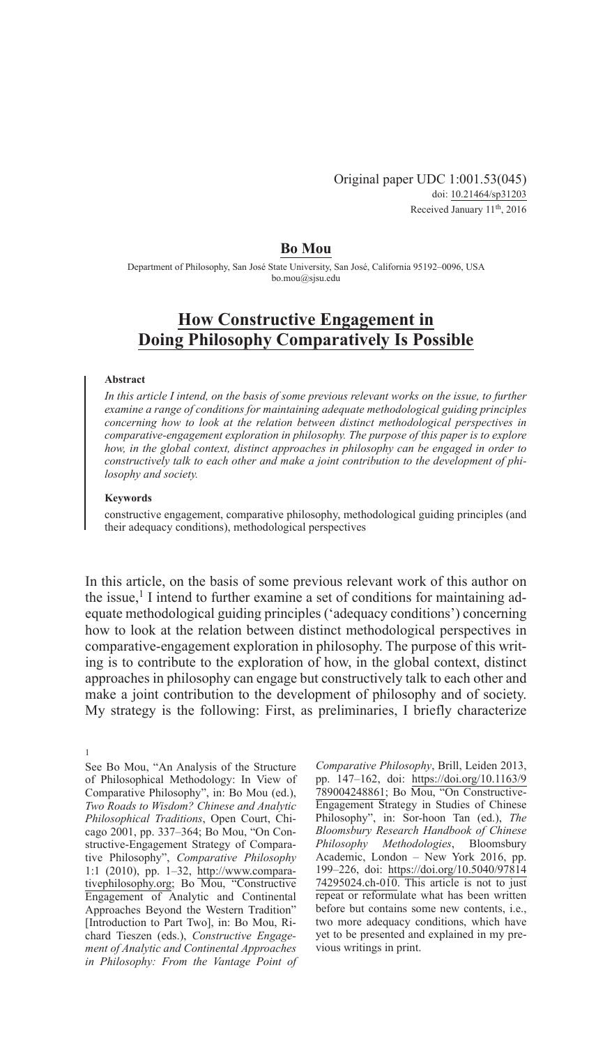Original paper UDC 1:001.53(045) doi: [10.21464/sp31203](https://doi.org/10.21464/sp31203) Received January 11<sup>th</sup>, 2016

## **Bo Mou**

Department of Philosophy, San José State University, San José, California 95192–0096, USA bo.mou@sjsu.edu

# **How Constructive Engagement in Doing Philosophy Comparatively Is Possible**

#### **Abstract**

In this article I intend, on the basis of some previous relevant works on the issue, to further *examine a range of conditions for maintaining adequate methodological guiding principles concerning how to look at the relation between distinct methodological perspectives in comparative-engagement exploration in philosophy. The purpose of this paper is to explore how, in the global context, distinct approaches in philosophy can be engaged in order to constructively talk to each other and make a joint contribution to the development of philosophy and society.*

### **Keywords**

constructive engagement, comparative philosophy, methodological guiding principles (and their adequacy conditions), methodological perspectives

In this article, on the basis of some previous relevant work of this author on the issue, $<sup>1</sup>$  I intend to further examine a set of conditions for maintaining ad-</sup> equate methodological guiding principles ('adequacy conditions') concerning how to look at the relation between distinct methodological perspectives in comparative-engagement exploration in philosophy. The purpose of this writing is to contribute to the exploration of how, in the global context, distinct approaches in philosophy can engage but constructively talk to each other and make a joint contribution to the development of philosophy and of society. My strategy is the following: First, as preliminaries, I briefly characterize

1 See Bo Mou, "An Analysis of the Structure of Philosophical Methodology: In View of Comparative Philosophy", in: Bo Mou (ed.), *Two Roads to Wisdom? Chinese and Analytic Philosophical Traditions*, Open Court, Chicago 2001, pp. 337–364; Bo Mou, "On Constructive-Engagement Strategy of Comparative Philosophy", *Comparative Philosophy* 1:1 (2010), pp. 1–32, [http://www.compara](http://www.comparativephilosophy.org)tivephilosophy.org; Bo Mou, "Constructive Engagement of Analytic and Continental Approaches Beyond the Western Tradition" [Introduction to Part Two], in: Bo Mou, Richard Tieszen (eds.), *Constructive Engagement of Analytic and Continental Approaches in Philosophy: From the Vantage Point of* 

*Comparative Philosophy*, Brill, Leiden 2013, pp. 147–162, doi: [https://doi.org/10.1163/9](https://doi.org/10.1163/9789004248861) 789004248861; Bo Mou, "On Constructive-Engagement Strategy in Studies of Chinese Philosophy", in: Sor-hoon Tan (ed.), *The Bloomsbury Research Handbook of Chinese*   $Philosophy$  *Methodologies*, Academic, London – New York 2016, pp. 199–226, doi: [https://doi.org/10.5040/97814](https://doi.org/10.5040/9781474295024.ch-010)  $74295024$ .ch-010. This article is not to just repeat or reformulate what has been written before but contains some new contents, i.e., two more adequacy conditions, which have yet to be presented and explained in my previous writings in print.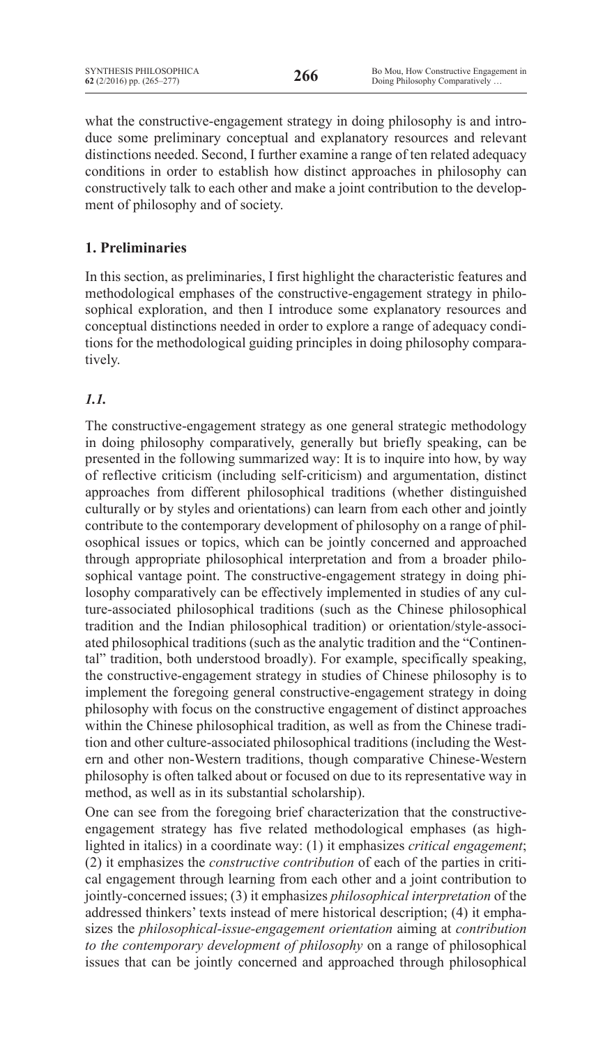what the constructive-engagement strategy in doing philosophy is and introduce some preliminary conceptual and explanatory resources and relevant distinctions needed. Second, I further examine a range of ten related adequacy conditions in order to establish how distinct approaches in philosophy can constructively talk to each other and make a joint contribution to the development of philosophy and of society.

# **1. Preliminaries**

In this section, as preliminaries, I first highlight the characteristic features and methodological emphases of the constructive-engagement strategy in philosophical exploration, and then I introduce some explanatory resources and conceptual distinctions needed in order to explore a range of adequacy conditions for the methodological guiding principles in doing philosophy comparatively.

## *1.1.*

The constructive-engagement strategy as one general strategic methodology in doing philosophy comparatively, generally but briefly speaking, can be presented in the following summarized way: It is to inquire into how, by way of reflective criticism (including self-criticism) and argumentation, distinct approaches from different philosophical traditions (whether distinguished culturally or by styles and orientations) can learn from each other and jointly contribute to the contemporary development of philosophy on a range of philosophical issues or topics, which can be jointly concerned and approached through appropriate philosophical interpretation and from a broader philosophical vantage point. The constructive-engagement strategy in doing philosophy comparatively can be effectively implemented in studies of any culture-associated philosophical traditions (such as the Chinese philosophical tradition and the Indian philosophical tradition) or orientation/style-associated philosophical traditions (such as the analytic tradition and the "Continental" tradition, both understood broadly). For example, specifically speaking, the constructive-engagement strategy in studies of Chinese philosophy is to implement the foregoing general constructive-engagement strategy in doing philosophy with focus on the constructive engagement of distinct approaches within the Chinese philosophical tradition, as well as from the Chinese tradition and other culture-associated philosophical traditions (including the Western and other non-Western traditions, though comparative Chinese-Western philosophy is often talked about or focused on due to its representative way in method, as well as in its substantial scholarship).

One can see from the foregoing brief characterization that the constructiveengagement strategy has five related methodological emphases (as highlighted in italics) in a coordinate way: (1) it emphasizes *critical engagement*; (2) it emphasizes the *constructive contribution* of each of the parties in critical engagement through learning from each other and a joint contribution to jointly-concerned issues; (3) it emphasizes *philosophical interpretation* of the addressed thinkers' texts instead of mere historical description; (4) it emphasizes the *philosophical-issue-engagement orientation* aiming at *contribution to the contemporary development of philosophy* on a range of philosophical issues that can be jointly concerned and approached through philosophical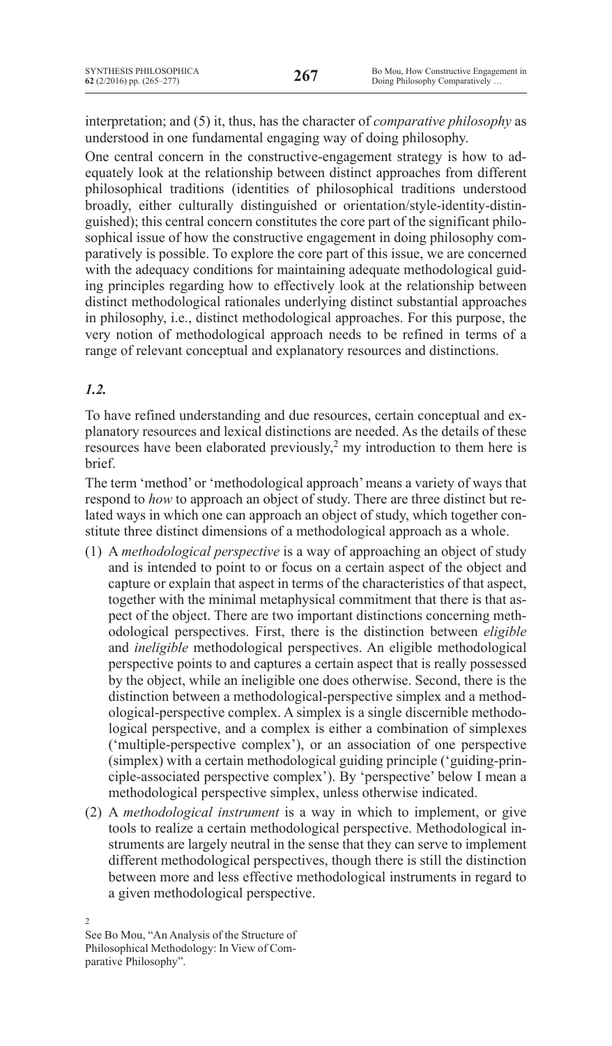interpretation; and (5) it, thus, has the character of *comparative philosophy* as understood in one fundamental engaging way of doing philosophy.

One central concern in the constructive-engagement strategy is how to adequately look at the relationship between distinct approaches from different philosophical traditions (identities of philosophical traditions understood broadly, either culturally distinguished or orientation/style-identity-distinguished); this central concern constitutes the core part of the significant philosophical issue of how the constructive engagement in doing philosophy comparatively is possible. To explore the core part of this issue, we are concerned with the adequacy conditions for maintaining adequate methodological guiding principles regarding how to effectively look at the relationship between distinct methodological rationales underlying distinct substantial approaches in philosophy, i.e., distinct methodological approaches. For this purpose, the very notion of methodological approach needs to be refined in terms of a range of relevant conceptual and explanatory resources and distinctions.

## *1.2.*

To have refined understanding and due resources, certain conceptual and explanatory resources and lexical distinctions are needed. As the details of these resources have been elaborated previously,<sup>2</sup> my introduction to them here is brief.

The term 'method' or 'methodological approach'means a variety of ways that respond to *how* to approach an object of study. There are three distinct but related ways in which one can approach an object of study, which together constitute three distinct dimensions of a methodological approach as a whole.

- (1) A *methodological perspective* is a way of approaching an object of study and is intended to point to or focus on a certain aspect of the object and capture or explain that aspect in terms of the characteristics of that aspect, together with the minimal metaphysical commitment that there is that aspect of the object. There are two important distinctions concerning methodological perspectives. First, there is the distinction between *eligible* and *ineligible* methodological perspectives. An eligible methodological perspective points to and captures a certain aspect that is really possessed by the object, while an ineligible one does otherwise. Second, there is the distinction between a methodological-perspective simplex and a methodological-perspective complex. A simplex is a single discernible methodological perspective, and a complex is either a combination of simplexes ('multiple-perspective complex'), or an association of one perspective (simplex) with a certain methodological guiding principle ('guiding-principle-associated perspective complex'). By 'perspective' below I mean a methodological perspective simplex, unless otherwise indicated.
- (2) A *methodological instrument* is a way in which to implement, or give tools to realize a certain methodological perspective. Methodological instruments are largely neutral in the sense that they can serve to implement different methodological perspectives, though there is still the distinction between more and less effective methodological instruments in regard to a given methodological perspective.

2 See Bo Mou, "An Analysis of the Structure of Philosophical Methodology: In View of Comparative Philosophy".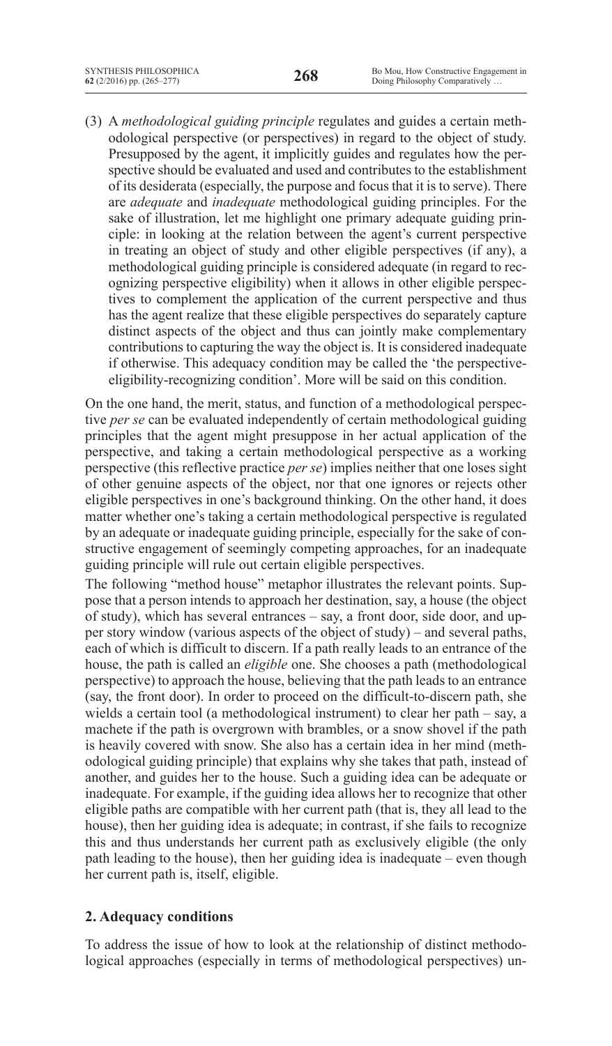(3) A *methodological guiding principle* regulates and guides a certain methodological perspective (or perspectives) in regard to the object of study. Presupposed by the agent, it implicitly guides and regulates how the perspective should be evaluated and used and contributes to the establishment of its desiderata (especially, the purpose and focusthat it isto serve). There are *adequate* and *inadequate* methodological guiding principles. For the sake of illustration, let me highlight one primary adequate guiding principle: in looking at the relation between the agent's current perspective in treating an object of study and other eligible perspectives (if any), a methodological guiding principle is considered adequate (in regard to recognizing perspective eligibility) when it allows in other eligible perspectives to complement the application of the current perspective and thus has the agent realize that these eligible perspectives do separately capture distinct aspects of the object and thus can jointly make complementary contributions to capturing the way the object is. It is considered inadequate if otherwise. This adequacy condition may be called the 'the perspectiveeligibility-recognizing condition'. More will be said on this condition.

On the one hand, the merit, status, and function of a methodological perspective *per se* can be evaluated independently of certain methodological guiding principles that the agent might presuppose in her actual application of the perspective, and taking a certain methodological perspective as a working perspective (this reflective practice *per se*) implies neither that one loses sight of other genuine aspects of the object, nor that one ignores or rejects other eligible perspectives in one's background thinking. On the other hand, it does matter whether one's taking a certain methodological perspective is regulated by an adequate or inadequate guiding principle, especially for the sake of constructive engagement of seemingly competing approaches, for an inadequate guiding principle will rule out certain eligible perspectives.

The following "method house" metaphor illustrates the relevant points. Suppose that a person intends to approach her destination, say, a house (the object of study), which has several entrances – say, a front door, side door, and upper story window (various aspects of the object of study) – and several paths, each of which is difficult to discern. If a path really leads to an entrance of the house, the path is called an *eligible* one. She chooses a path (methodological perspective) to approach the house, believing that the path leads to an entrance (say, the front door). In order to proceed on the difficult-to-discern path, she wields a certain tool (a methodological instrument) to clear her path – say, a machete if the path is overgrown with brambles, or a snow shovel if the path is heavily covered with snow. She also has a certain idea in her mind (methodological guiding principle) that explains why she takes that path, instead of another, and guides her to the house. Such a guiding idea can be adequate or inadequate. For example, if the guiding idea allows her to recognize that other eligible paths are compatible with her current path (that is, they all lead to the house), then her guiding idea is adequate; in contrast, if she fails to recognize this and thus understands her current path as exclusively eligible (the only path leading to the house), then her guiding idea is inadequate – even though her current path is, itself, eligible.

## **2. Adequacy conditions**

To address the issue of how to look at the relationship of distinct methodological approaches (especially in terms of methodological perspectives) un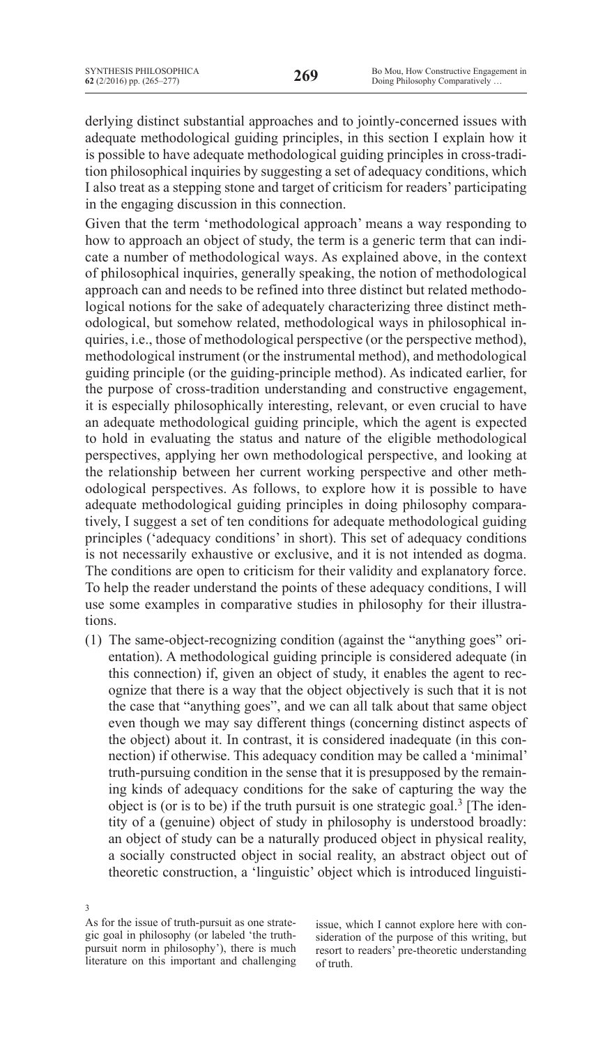derlying distinct substantial approaches and to jointly-concerned issues with adequate methodological guiding principles, in this section I explain how it is possible to have adequate methodological guiding principles in cross-tradition philosophical inquiries by suggesting a set of adequacy conditions, which I also treat as a stepping stone and target of criticism for readers' participating in the engaging discussion in this connection.

Given that the term 'methodological approach' means a way responding to how to approach an object of study, the term is a generic term that can indicate a number of methodological ways. As explained above, in the context of philosophical inquiries, generally speaking, the notion of methodological approach can and needs to be refined into three distinct but related methodological notions for the sake of adequately characterizing three distinct methodological, but somehow related, methodological ways in philosophical inquiries, i.e., those of methodological perspective (or the perspective method), methodological instrument (or the instrumental method), and methodological guiding principle (or the guiding-principle method). As indicated earlier, for the purpose of cross-tradition understanding and constructive engagement, it is especially philosophically interesting, relevant, or even crucial to have an adequate methodological guiding principle, which the agent is expected to hold in evaluating the status and nature of the eligible methodological perspectives, applying her own methodological perspective, and looking at the relationship between her current working perspective and other methodological perspectives. As follows, to explore how it is possible to have adequate methodological guiding principles in doing philosophy comparatively, I suggest a set of ten conditions for adequate methodological guiding principles ('adequacy conditions' in short). This set of adequacy conditions is not necessarily exhaustive or exclusive, and it is not intended as dogma. The conditions are open to criticism for their validity and explanatory force. To help the reader understand the points of these adequacy conditions, I will use some examples in comparative studies in philosophy for their illustrations.

(1) The same-object-recognizing condition (against the "anything goes" orientation). A methodological guiding principle is considered adequate (in this connection) if, given an object of study, it enables the agent to recognize that there is a way that the object objectively is such that it is not the case that "anything goes", and we can all talk about that same object even though we may say different things (concerning distinct aspects of the object) about it. In contrast, it is considered inadequate (in this connection) if otherwise. This adequacy condition may be called a 'minimal' truth-pursuing condition in the sense that it is presupposed by the remaining kinds of adequacy conditions for the sake of capturing the way the object is (or is to be) if the truth pursuit is one strategic goal.3 [The identity of a (genuine) object of study in philosophy is understood broadly: an object of study can be a naturally produced object in physical reality, a socially constructed object in social reality, an abstract object out of theoretic construction, a 'linguistic' object which is introduced linguisti-

As for the issue of truth-pursuit as one strategic goal in philosophy (or labeled 'the truthpursuit norm in philosophy'), there is much literature on this important and challenging

3

issue, which I cannot explore here with consideration of the purpose of this writing, but resort to readers' pre-theoretic understanding of truth.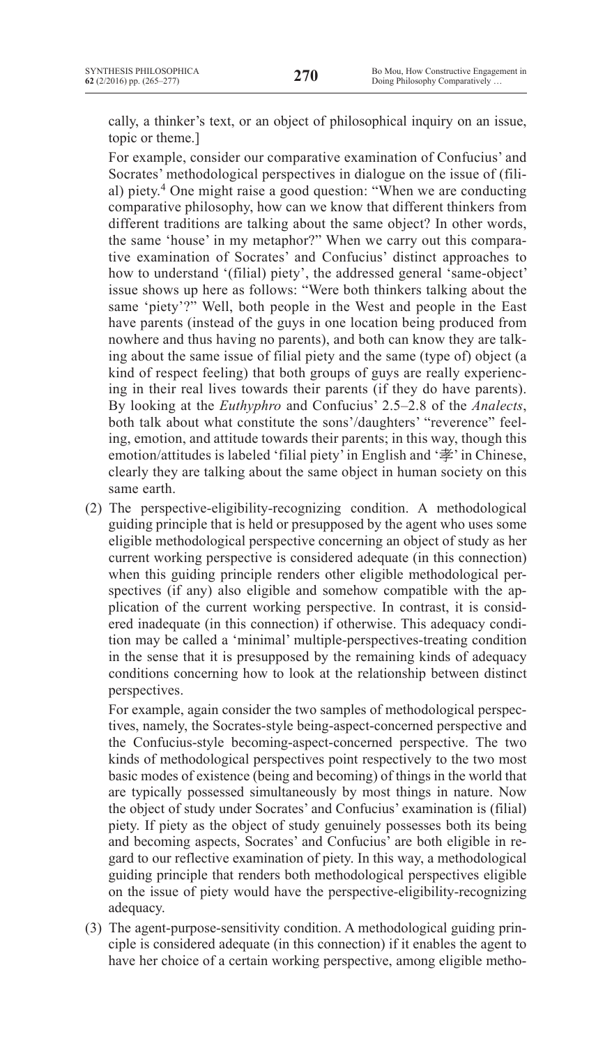cally, a thinker's text, or an object of philosophical inquiry on an issue, topic or theme.]

For example, consider our comparative examination of Confucius' and Socrates' methodological perspectives in dialogue on the issue of (filial) piety.4 One might raise a good question: "When we are conducting comparative philosophy, how can we know that different thinkers from different traditions are talking about the same object? In other words, the same 'house' in my metaphor?" When we carry out this comparative examination of Socrates' and Confucius' distinct approaches to how to understand '(filial) piety', the addressed general 'same-object' issue shows up here as follows: "Were both thinkers talking about the same 'piety'?" Well, both people in the West and people in the East have parents (instead of the guys in one location being produced from nowhere and thus having no parents), and both can know they are talking about the same issue of filial piety and the same (type of) object (a kind of respect feeling) that both groups of guys are really experiencing in their real lives towards their parents (if they do have parents). By looking at the *Euthyphro* and Confucius' 2.5–2.8 of the *Analects*, both talk about what constitute the sons'/daughters' "reverence" feeling, emotion, and attitude towards their parents; in this way, though this emotion/attitudes is labeled 'filial piety' in English and '孝' in Chinese, clearly they are talking about the same object in human society on this same earth.

(2) The perspective-eligibility-recognizing condition. A methodological guiding principle that is held or presupposed by the agent who uses some eligible methodological perspective concerning an object of study as her current working perspective is considered adequate (in this connection) when this guiding principle renders other eligible methodological perspectives (if any) also eligible and somehow compatible with the application of the current working perspective. In contrast, it is considered inadequate (in this connection) if otherwise. This adequacy condition may be called a 'minimal' multiple-perspectives-treating condition in the sense that it is presupposed by the remaining kinds of adequacy conditions concerning how to look at the relationship between distinct perspectives.

For example, again consider the two samples of methodological perspectives, namely, the Socrates-style being-aspect-concerned perspective and the Confucius-style becoming-aspect-concerned perspective. The two kinds of methodological perspectives point respectively to the two most basic modes of existence (being and becoming) of things in the world that are typically possessed simultaneously by most things in nature. Now the object of study under Socrates' and Confucius' examination is (filial) piety. If piety as the object of study genuinely possesses both its being and becoming aspects, Socrates' and Confucius' are both eligible in regard to our reflective examination of piety. In this way, a methodological guiding principle that renders both methodological perspectives eligible on the issue of piety would have the perspective-eligibility-recognizing adequacy.

(3) The agent-purpose-sensitivity condition. A methodological guiding principle is considered adequate (in this connection) if it enables the agent to have her choice of a certain working perspective, among eligible metho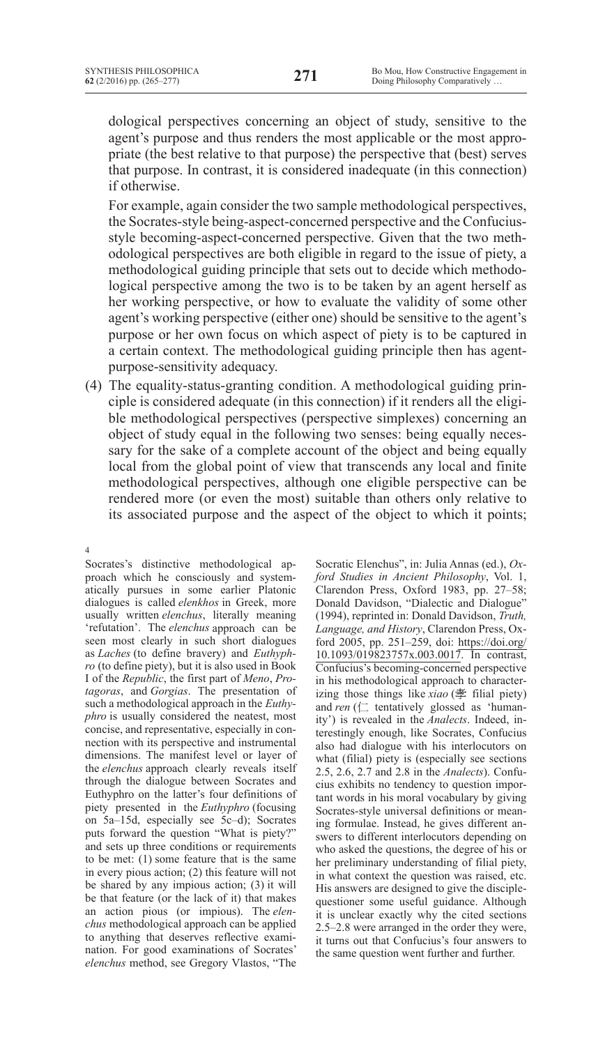dological perspectives concerning an object of study, sensitive to the agent's purpose and thus renders the most applicable or the most appropriate (the best relative to that purpose) the perspective that (best) serves that purpose. In contrast, it is considered inadequate (in this connection) if otherwise.

For example, again consider the two sample methodological perspectives, the Socrates-style being-aspect-concerned perspective and the Confuciusstyle becoming-aspect-concerned perspective. Given that the two methodological perspectives are both eligible in regard to the issue of piety, a methodological guiding principle that sets out to decide which methodological perspective among the two is to be taken by an agent herself as her working perspective, or how to evaluate the validity of some other agent's working perspective (either one) should be sensitive to the agent's purpose or her own focus on which aspect of piety is to be captured in a certain context. The methodological guiding principle then has agentpurpose-sensitivity adequacy.

(4) The equality-status-granting condition. A methodological guiding principle is considered adequate (in this connection) if it renders all the eligible methodological perspectives (perspective simplexes) concerning an object of study equal in the following two senses: being equally necessary for the sake of a complete account of the object and being equally local from the global point of view that transcends any local and finite methodological perspectives, although one eligible perspective can be rendered more (or even the most) suitable than others only relative to its associated purpose and the aspect of the object to which it points;

4

Socrates's distinctive methodological approach which he consciously and systematically pursues in some earlier Platonic dialogues is called *elenkhos* in Greek, more usually written *elenchus*, literally meaning 'refutation'. The *elenchus* approach can be seen most clearly in such short dialogues as *Laches* (to define bravery) and *Euthyphro* (to define piety), but it is also used in Book I of the *Republic*, the first part of *Meno*, *Protagoras*, and *Gorgias*. The presentation of such a methodological approach in the *Euthyphro* is usually considered the neatest, most concise, and representative, especially in connection with its perspective and instrumental dimensions. The manifest level or layer of the *elenchus* approach clearly reveals itself through the dialogue between Socrates and Euthyphro on the latter's four definitions of piety presented in the *Euthyphro* (focusing on 5a–15d, especially see 5c–d); Socrates puts forward the question "What is piety?" and sets up three conditions or requirements to be met: (1) some feature that is the same in every pious action; (2) this feature will not be shared by any impious action; (3) it will be that feature (or the lack of it) that makes an action pious (or impious). The *elenchus* methodological approach can be applied to anything that deserves reflective examination. For good examinations of Socrates' *elenchus* method, see Gregory Vlastos, "The

Socratic Elenchus", in: Julia Annas (ed.), *Oxford Studies in Ancient Philosophy*, Vol. 1, Clarendon Press, Oxford 1983, pp. 27–58; Donald Davidson, "Dialectic and Dialogue" (1994), reprinted in: Donald Davidson, *Truth, Language, and History*, Clarendon Press, Oxford 2005, pp. 251–259, doi: https://doi.org/ [10.1093/019823757x.003.0017.](https://doi.org/10.1093/019823757x.003.0017) In contrast, Confucius's becoming-concerned perspective in his methodological approach to characterizing those things like *xiao* (孝 filial piety) and *ren* ( $\Box$  tentatively glossed as 'humanity') is revealed in the *Analects*. Indeed, interestingly enough, like Socrates, Confucius also had dialogue with his interlocutors on what (filial) piety is (especially see sections 2.5, 2.6, 2.7 and 2.8 in the *Analects*). Confucius exhibits no tendency to question important words in his moral vocabulary by giving Socrates-style universal definitions or meaning formulae. Instead, he gives different answers to different interlocutors depending on who asked the questions, the degree of his or her preliminary understanding of filial piety, in what context the question was raised, etc. His answers are designed to give the disciplequestioner some useful guidance. Although it is unclear exactly why the cited sections 2.5–2.8 were arranged in the order they were, it turns out that Confucius's four answers to the same question went further and further.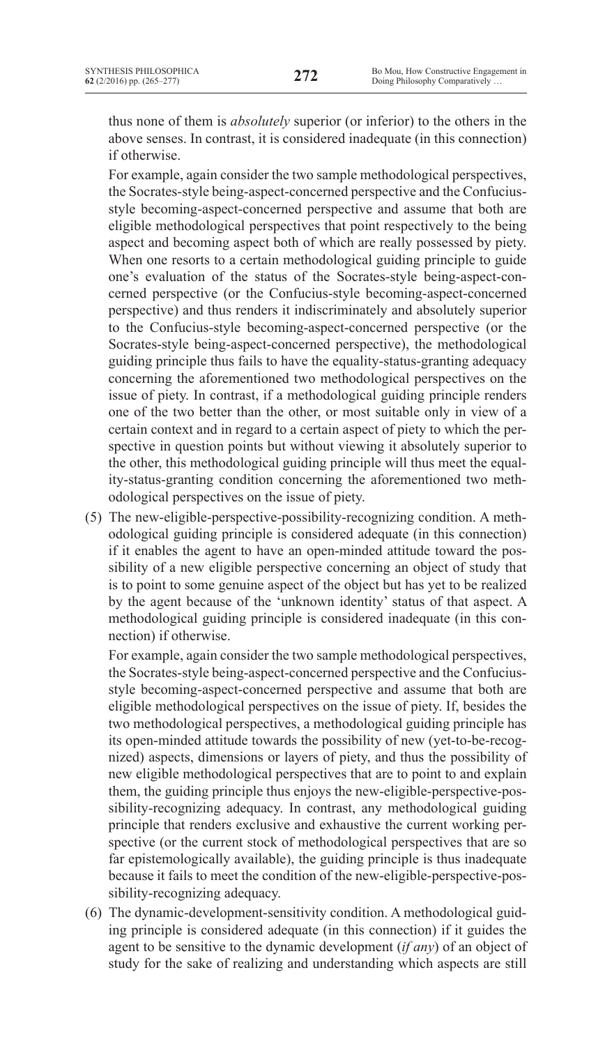thus none of them is *absolutely* superior (or inferior) to the others in the above senses. In contrast, it is considered inadequate (in this connection) if otherwise.

For example, again consider the two sample methodological perspectives, the Socrates-style being-aspect-concerned perspective and the Confuciusstyle becoming-aspect-concerned perspective and assume that both are eligible methodological perspectives that point respectively to the being aspect and becoming aspect both of which are really possessed by piety. When one resorts to a certain methodological guiding principle to guide one's evaluation of the status of the Socrates-style being-aspect-concerned perspective (or the Confucius-style becoming-aspect-concerned perspective) and thus renders it indiscriminately and absolutely superior to the Confucius-style becoming-aspect-concerned perspective (or the Socrates-style being-aspect-concerned perspective), the methodological guiding principle thus fails to have the equality-status-granting adequacy concerning the aforementioned two methodological perspectives on the issue of piety. In contrast, if a methodological guiding principle renders one of the two better than the other, or most suitable only in view of a certain context and in regard to a certain aspect of piety to which the perspective in question points but without viewing it absolutely superior to the other, this methodological guiding principle will thus meet the equality-status-granting condition concerning the aforementioned two methodological perspectives on the issue of piety.

(5) The new-eligible-perspective-possibility-recognizing condition. A methodological guiding principle is considered adequate (in this connection) if it enables the agent to have an open-minded attitude toward the possibility of a new eligible perspective concerning an object of study that is to point to some genuine aspect of the object but has yet to be realized by the agent because of the 'unknown identity' status of that aspect. A methodological guiding principle is considered inadequate (in this connection) if otherwise.

For example, again consider the two sample methodological perspectives, the Socrates-style being-aspect-concerned perspective and the Confuciusstyle becoming-aspect-concerned perspective and assume that both are eligible methodological perspectives on the issue of piety. If, besides the two methodological perspectives, a methodological guiding principle has its open-minded attitude towards the possibility of new (yet-to-be-recognized) aspects, dimensions or layers of piety, and thus the possibility of new eligible methodological perspectives that are to point to and explain them, the guiding principle thus enjoys the new-eligible-perspective-possibility-recognizing adequacy. In contrast, any methodological guiding principle that renders exclusive and exhaustive the current working perspective (or the current stock of methodological perspectives that are so far epistemologically available), the guiding principle is thus inadequate because it fails to meet the condition of the new-eligible-perspective-possibility-recognizing adequacy.

(6) The dynamic-development-sensitivity condition. A methodological guiding principle is considered adequate (in this connection) if it guides the agent to be sensitive to the dynamic development (*if any*) of an object of study for the sake of realizing and understanding which aspects are still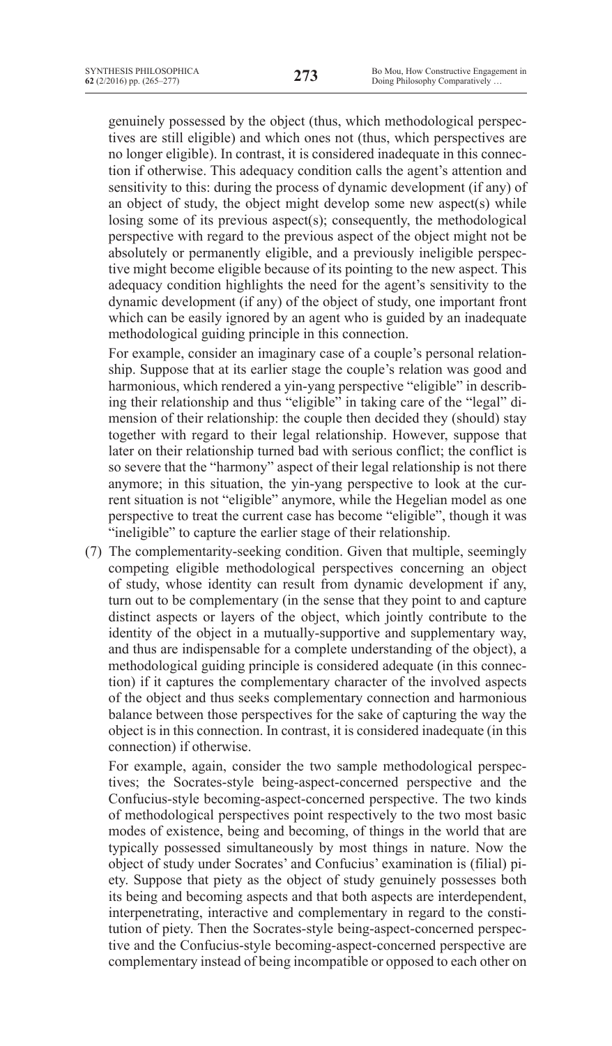genuinely possessed by the object (thus, which methodological perspectives are still eligible) and which ones not (thus, which perspectives are no longer eligible). In contrast, it is considered inadequate in this connection if otherwise. This adequacy condition calls the agent's attention and sensitivity to this: during the process of dynamic development (if any) of an object of study, the object might develop some new aspect(s) while losing some of its previous aspect(s); consequently, the methodological perspective with regard to the previous aspect of the object might not be absolutely or permanently eligible, and a previously ineligible perspective might become eligible because of its pointing to the new aspect. This adequacy condition highlights the need for the agent's sensitivity to the dynamic development (if any) of the object of study, one important front which can be easily ignored by an agent who is guided by an inadequate methodological guiding principle in this connection.

For example, consider an imaginary case of a couple's personal relationship. Suppose that at its earlier stage the couple's relation was good and harmonious, which rendered a yin-yang perspective "eligible" in describing their relationship and thus "eligible" in taking care of the "legal" dimension of their relationship: the couple then decided they (should) stay together with regard to their legal relationship. However, suppose that later on their relationship turned bad with serious conflict; the conflict is so severe that the "harmony" aspect of their legal relationship is not there anymore; in this situation, the yin-yang perspective to look at the current situation is not "eligible" anymore, while the Hegelian model as one perspective to treat the current case has become "eligible", though it was "ineligible" to capture the earlier stage of their relationship.

(7) The complementarity-seeking condition. Given that multiple, seemingly competing eligible methodological perspectives concerning an object of study, whose identity can result from dynamic development if any, turn out to be complementary (in the sense that they point to and capture distinct aspects or layers of the object, which jointly contribute to the identity of the object in a mutually-supportive and supplementary way, and thus are indispensable for a complete understanding of the object), a methodological guiding principle is considered adequate (in this connection) if it captures the complementary character of the involved aspects of the object and thus seeks complementary connection and harmonious balance between those perspectives for the sake of capturing the way the object is in this connection. In contrast, it is considered inadequate (in this connection) if otherwise.

For example, again, consider the two sample methodological perspectives; the Socrates-style being-aspect-concerned perspective and the Confucius-style becoming-aspect-concerned perspective. The two kinds of methodological perspectives point respectively to the two most basic modes of existence, being and becoming, of things in the world that are typically possessed simultaneously by most things in nature. Now the object of study under Socrates' and Confucius' examination is (filial) piety. Suppose that piety as the object of study genuinely possesses both its being and becoming aspects and that both aspects are interdependent, interpenetrating, interactive and complementary in regard to the constitution of piety. Then the Socrates-style being-aspect-concerned perspective and the Confucius-style becoming-aspect-concerned perspective are complementary instead of being incompatible or opposed to each other on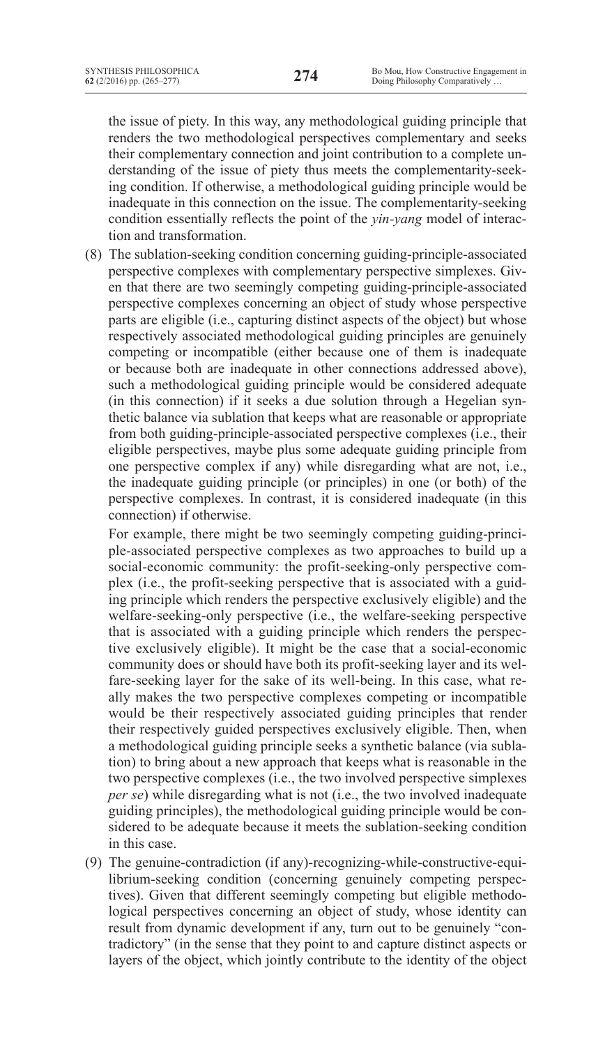the issue of piety. In this way, any methodological guiding principle that renders the two methodological perspectives complementary and seeks their complementary connection and joint contribution to a complete understanding of the issue of piety thus meets the complementarity-seeking condition. If otherwise, a methodological guiding principle would be inadequate in this connection on the issue. The complementarity-seeking condition essentially reflects the point of the *yin-yang* model of interaction and transformation.

(8) The sublation-seeking condition concerning guiding-principle-associated perspective complexes with complementary perspective simplexes. Given that there are two seemingly competing guiding-principle-associated perspective complexes concerning an object of study whose perspective parts are eligible (i.e., capturing distinct aspects of the object) but whose respectively associated methodological guiding principles are genuinely competing or incompatible (either because one of them is inadequate or because both are inadequate in other connections addressed above), such a methodological guiding principle would be considered adequate (in this connection) if it seeks a due solution through a Hegelian synthetic balance via sublation that keeps what are reasonable or appropriate from both guiding-principle-associated perspective complexes (i.e., their eligible perspectives, maybe plus some adequate guiding principle from one perspective complex if any) while disregarding what are not, i.e., the inadequate guiding principle (or principles) in one (or both) of the perspective complexes. In contrast, it is considered inadequate (in this connection) if otherwise.

For example, there might be two seemingly competing guiding-principle-associated perspective complexes as two approaches to build up a social-economic community: the profit-seeking-only perspective complex (i.e., the profit-seeking perspective that is associated with a guiding principle which renders the perspective exclusively eligible) and the welfare-seeking-only perspective (i.e., the welfare-seeking perspective that is associated with a guiding principle which renders the perspective exclusively eligible). It might be the case that a social-economic community does or should have both its profit-seeking layer and its welfare-seeking layer for the sake of its well-being. In this case, what really makes the two perspective complexes competing or incompatible would be their respectively associated guiding principles that render their respectively guided perspectives exclusively eligible. Then, when a methodological guiding principle seeks a synthetic balance (via sublation) to bring about a new approach that keeps what is reasonable in the two perspective complexes (i.e., the two involved perspective simplexes *per se*) while disregarding what is not (i.e., the two involved inadequate guiding principles), the methodological guiding principle would be considered to be adequate because it meets the sublation-seeking condition in this case.

(9) The genuine-contradiction (if any)-recognizing-while-constructive-equilibrium-seeking condition (concerning genuinely competing perspectives). Given that different seemingly competing but eligible methodological perspectives concerning an object of study, whose identity can result from dynamic development if any, turn out to be genuinely "contradictory" (in the sense that they point to and capture distinct aspects or layers of the object, which jointly contribute to the identity of the object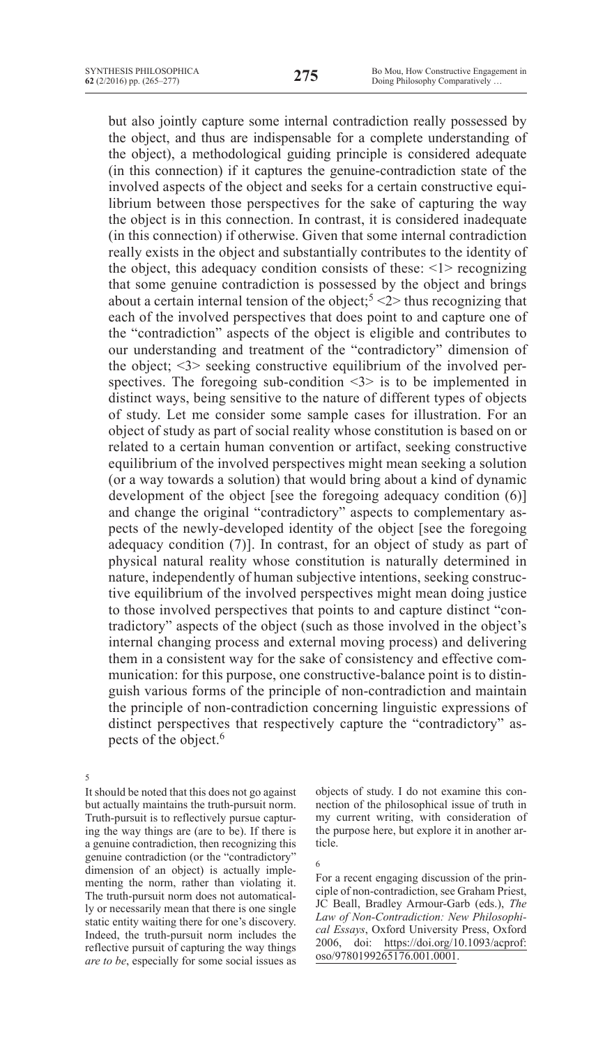but also jointly capture some internal contradiction really possessed by the object, and thus are indispensable for a complete understanding of the object), a methodological guiding principle is considered adequate (in this connection) if it captures the genuine-contradiction state of the involved aspects of the object and seeks for a certain constructive equilibrium between those perspectives for the sake of capturing the way the object is in this connection. In contrast, it is considered inadequate (in this connection) if otherwise. Given that some internal contradiction really exists in the object and substantially contributes to the identity of the object, this adequacy condition consists of these:  $\leq 1$  recognizing that some genuine contradiction is possessed by the object and brings about a certain internal tension of the object;  $5 < 2$  thus recognizing that each of the involved perspectives that does point to and capture one of the "contradiction" aspects of the object is eligible and contributes to our understanding and treatment of the "contradictory" dimension of the object; <3> seeking constructive equilibrium of the involved perspectives. The foregoing sub-condition  $\langle 3 \rangle$  is to be implemented in distinct ways, being sensitive to the nature of different types of objects of study. Let me consider some sample cases for illustration. For an object of study as part of social reality whose constitution is based on or related to a certain human convention or artifact, seeking constructive equilibrium of the involved perspectives might mean seeking a solution (or a way towards a solution) that would bring about a kind of dynamic development of the object [see the foregoing adequacy condition (6)] and change the original "contradictory" aspects to complementary aspects of the newly-developed identity of the object [see the foregoing adequacy condition (7)]. In contrast, for an object of study as part of physical natural reality whose constitution is naturally determined in nature, independently of human subjective intentions, seeking constructive equilibrium of the involved perspectives might mean doing justice to those involved perspectives that points to and capture distinct "contradictory" aspects of the object (such as those involved in the object's internal changing process and external moving process) and delivering them in a consistent way for the sake of consistency and effective communication: for this purpose, one constructive-balance point is to distinguish various forms of the principle of non-contradiction and maintain the principle of non-contradiction concerning linguistic expressions of distinct perspectives that respectively capture the "contradictory" aspects of the object.<sup>6</sup>

5

It should be noted that this does not go against but actually maintains the truth-pursuit norm. Truth-pursuit is to reflectively pursue capturing the way things are (are to be). If there is a genuine contradiction, then recognizing this genuine contradiction (or the "contradictory" dimension of an object) is actually implementing the norm, rather than violating it. The truth-pursuit norm does not automatically or necessarily mean that there is one single static entity waiting there for one's discovery. Indeed, the truth-pursuit norm includes the reflective pursuit of capturing the way things *are to be*, especially for some social issues as

objects of study. I do not examine this connection of the philosophical issue of truth in my current writing, with consideration of the purpose here, but explore it in another article.

6 For a recent engaging discussion of the principle of non-contradiction, see Graham Priest, JC Beall, Bradley Armour-Garb (eds.), *The Law of Non-Contradiction: New Philosophical Essays*, Oxford University Press, Oxford 2006, doi: https://doi.org/10.1093/acprof: [oso/9780199265176.001.0001.](https://doi.org/10.1093/acprof:oso/9780199265176.001.0001)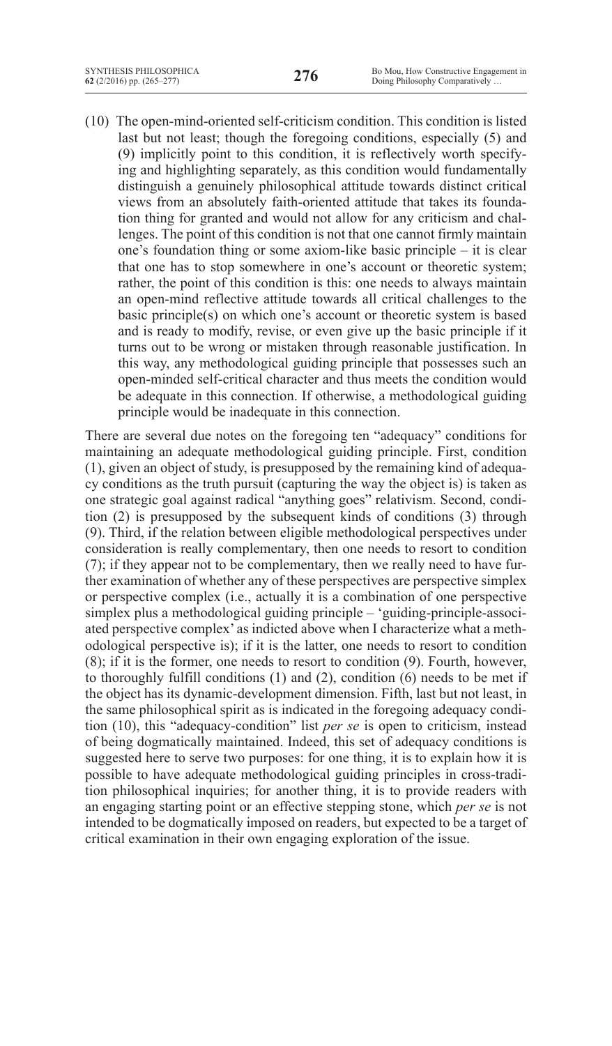(10) The open-mind-oriented self-criticism condition. This condition is listed last but not least; though the foregoing conditions, especially (5) and (9) implicitly point to this condition, it is reflectively worth specifying and highlighting separately, as this condition would fundamentally distinguish a genuinely philosophical attitude towards distinct critical views from an absolutely faith-oriented attitude that takes its foundation thing for granted and would not allow for any criticism and challenges. The point of this condition is not that one cannot firmly maintain one's foundation thing or some axiom-like basic principle – it is clear that one has to stop somewhere in one's account or theoretic system; rather, the point of this condition is this: one needs to always maintain an open-mind reflective attitude towards all critical challenges to the basic principle(s) on which one's account or theoretic system is based and is ready to modify, revise, or even give up the basic principle if it turns out to be wrong or mistaken through reasonable justification. In this way, any methodological guiding principle that possesses such an open-minded self-critical character and thus meets the condition would be adequate in this connection. If otherwise, a methodological guiding principle would be inadequate in this connection.

There are several due notes on the foregoing ten "adequacy" conditions for maintaining an adequate methodological guiding principle. First, condition (1), given an object of study, is presupposed by the remaining kind of adequacy conditions as the truth pursuit (capturing the way the object is) is taken as one strategic goal against radical "anything goes" relativism. Second, condition (2) is presupposed by the subsequent kinds of conditions (3) through (9). Third, if the relation between eligible methodological perspectives under consideration is really complementary, then one needs to resort to condition (7); if they appear not to be complementary, then we really need to have further examination of whether any of these perspectives are perspective simplex or perspective complex (i.e., actually it is a combination of one perspective simplex plus a methodological guiding principle – 'guiding-principle-associated perspective complex' as indicted above when I characterize what a methodological perspective is); if it is the latter, one needs to resort to condition (8); if it is the former, one needs to resort to condition (9). Fourth, however, to thoroughly fulfill conditions (1) and (2), condition (6) needs to be met if the object has its dynamic-development dimension. Fifth, last but not least, in the same philosophical spirit as is indicated in the foregoing adequacy condition (10), this "adequacy-condition" list *per se* is open to criticism, instead of being dogmatically maintained. Indeed, this set of adequacy conditions is suggested here to serve two purposes: for one thing, it is to explain how it is possible to have adequate methodological guiding principles in cross-tradition philosophical inquiries; for another thing, it is to provide readers with an engaging starting point or an effective stepping stone, which *per se* is not intended to be dogmatically imposed on readers, but expected to be a target of critical examination in their own engaging exploration of the issue.